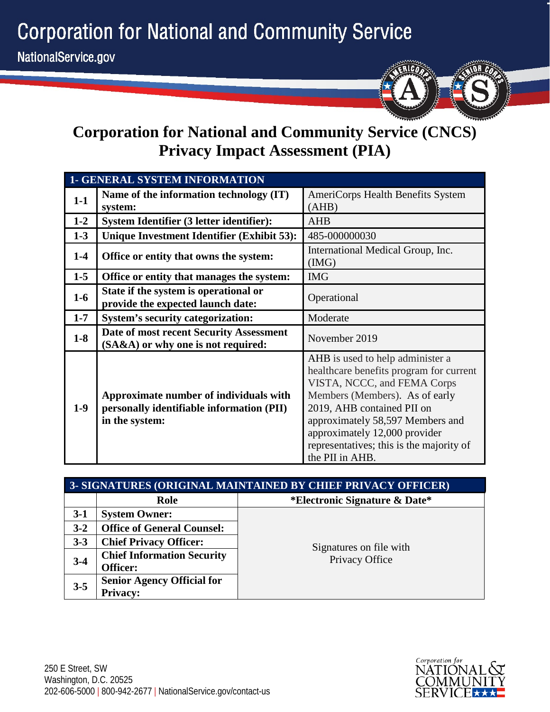**Corporation for National and Community Service** 



## **Corporation for National and Community Service (CNCS) Privacy Impact Assessment (PIA)**

| <b>1- GENERAL SYSTEM INFORMATION</b> |                                                                                                       |                                                                                                                                                                                                                                                                                                                |
|--------------------------------------|-------------------------------------------------------------------------------------------------------|----------------------------------------------------------------------------------------------------------------------------------------------------------------------------------------------------------------------------------------------------------------------------------------------------------------|
| $1-1$                                | Name of the information technology (IT)<br>system:                                                    | AmeriCorps Health Benefits System<br>(AHB)                                                                                                                                                                                                                                                                     |
| $1 - 2$                              | System Identifier (3 letter identifier):                                                              | <b>AHB</b>                                                                                                                                                                                                                                                                                                     |
| $1-3$                                | Unique Investment Identifier (Exhibit 53):                                                            | 485-000000030                                                                                                                                                                                                                                                                                                  |
| $1-4$                                | Office or entity that owns the system:                                                                | International Medical Group, Inc.<br>(MG)                                                                                                                                                                                                                                                                      |
| $1-5$                                | Office or entity that manages the system:                                                             | <b>IMG</b>                                                                                                                                                                                                                                                                                                     |
| $1-6$                                | State if the system is operational or<br>provide the expected launch date:                            | Operational                                                                                                                                                                                                                                                                                                    |
| $1 - 7$                              | <b>System's security categorization:</b>                                                              | Moderate                                                                                                                                                                                                                                                                                                       |
| $1-8$                                | Date of most recent Security Assessment<br>(SA&A) or why one is not required:                         | November 2019                                                                                                                                                                                                                                                                                                  |
| $1-9$                                | Approximate number of individuals with<br>personally identifiable information (PII)<br>in the system: | AHB is used to help administer a<br>healthcare benefits program for current<br>VISTA, NCCC, and FEMA Corps<br>Members (Members). As of early<br>2019, AHB contained PII on<br>approximately 58,597 Members and<br>approximately 12,000 provider<br>representatives; this is the majority of<br>the PII in AHB. |

| 3- SIGNATURES (ORIGINAL MAINTAINED BY CHIEF PRIVACY OFFICER) |                                   |                                          |  |  |
|--------------------------------------------------------------|-----------------------------------|------------------------------------------|--|--|
|                                                              | Role                              | <i>*Electronic Signature &amp; Date*</i> |  |  |
| $3-1$                                                        | <b>System Owner:</b>              |                                          |  |  |
| $3 - 2$                                                      | <b>Office of General Counsel:</b> |                                          |  |  |
| $3 - 3$                                                      | <b>Chief Privacy Officer:</b>     | Signatures on file with                  |  |  |
| $3 - 4$                                                      | <b>Chief Information Security</b> | Privacy Office                           |  |  |
|                                                              | Officer:                          |                                          |  |  |
| $3 - 5$                                                      | <b>Senior Agency Official for</b> |                                          |  |  |
|                                                              | <b>Privacy:</b>                   |                                          |  |  |

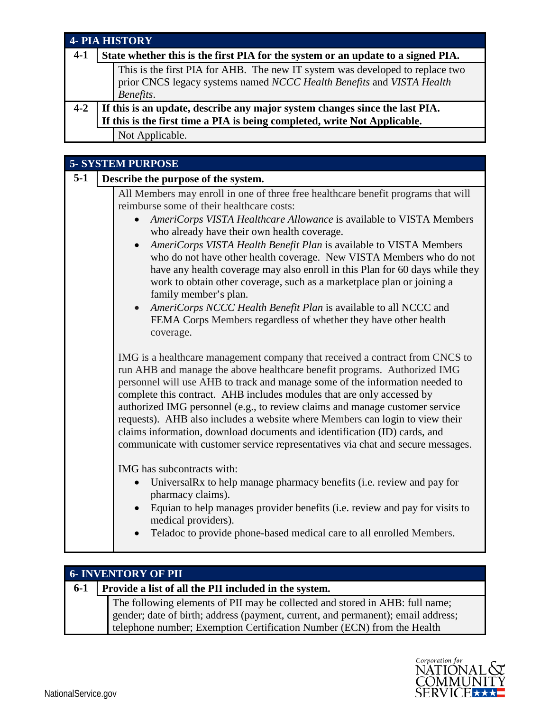| <b>4- PIA HISTORY</b> |                 |                                                                                                                                                        |  |
|-----------------------|-----------------|--------------------------------------------------------------------------------------------------------------------------------------------------------|--|
| $4-1$                 |                 | State whether this is the first PIA for the system or an update to a signed PIA.                                                                       |  |
|                       | Benefits.       | This is the first PIA for AHB. The new IT system was developed to replace two<br>prior CNCS legacy systems named NCCC Health Benefits and VISTA Health |  |
| $4 - 2$               |                 | If this is an update, describe any major system changes since the last PIA.                                                                            |  |
|                       |                 | If this is the first time a PIA is being completed, write Not Applicable.                                                                              |  |
|                       | Not Applicable. |                                                                                                                                                        |  |

| <b>5- SYSTEM PURPOSE</b> |                                                                                                                                                                                                                                                                                                                                                                                                                                                                                                                                                                                                                                                                                                                                                                    |  |
|--------------------------|--------------------------------------------------------------------------------------------------------------------------------------------------------------------------------------------------------------------------------------------------------------------------------------------------------------------------------------------------------------------------------------------------------------------------------------------------------------------------------------------------------------------------------------------------------------------------------------------------------------------------------------------------------------------------------------------------------------------------------------------------------------------|--|
| $5-1$                    | Describe the purpose of the system.                                                                                                                                                                                                                                                                                                                                                                                                                                                                                                                                                                                                                                                                                                                                |  |
|                          | All Members may enroll in one of three free healthcare benefit programs that will<br>reimburse some of their healthcare costs:<br>AmeriCorps VISTA Healthcare Allowance is available to VISTA Members<br>who already have their own health coverage.<br>AmeriCorps VISTA Health Benefit Plan is available to VISTA Members<br>$\bullet$<br>who do not have other health coverage. New VISTA Members who do not<br>have any health coverage may also enroll in this Plan for 60 days while they<br>work to obtain other coverage, such as a marketplace plan or joining a<br>family member's plan.<br>AmeriCorps NCCC Health Benefit Plan is available to all NCCC and<br>$\bullet$<br>FEMA Corps Members regardless of whether they have other health<br>coverage. |  |
|                          | IMG is a healthcare management company that received a contract from CNCS to<br>run AHB and manage the above healthcare benefit programs. Authorized IMG<br>personnel will use AHB to track and manage some of the information needed to<br>complete this contract. AHB includes modules that are only accessed by<br>authorized IMG personnel (e.g., to review claims and manage customer service<br>requests). AHB also includes a website where Members can login to view their<br>claims information, download documents and identification (ID) cards, and<br>communicate with customer service representatives via chat and secure messages.<br>IMG has subcontracts with:<br>Universal Rx to help manage pharmacy benefits (i.e. review and pay for         |  |
|                          | pharmacy claims).<br>Equian to help manages provider benefits (i.e. review and pay for visits to<br>medical providers).<br>Teladoc to provide phone-based medical care to all enrolled Members.                                                                                                                                                                                                                                                                                                                                                                                                                                                                                                                                                                    |  |

| <b>6- INVENTORY OF PII</b> |                                                                                  |  |
|----------------------------|----------------------------------------------------------------------------------|--|
| $6 - 1$                    | Provide a list of all the PII included in the system.                            |  |
|                            | The following elements of PII may be collected and stored in AHB: full name;     |  |
|                            | gender; date of birth; address (payment, current, and permanent); email address; |  |
|                            | telephone number; Exemption Certification Number (ECN) from the Health           |  |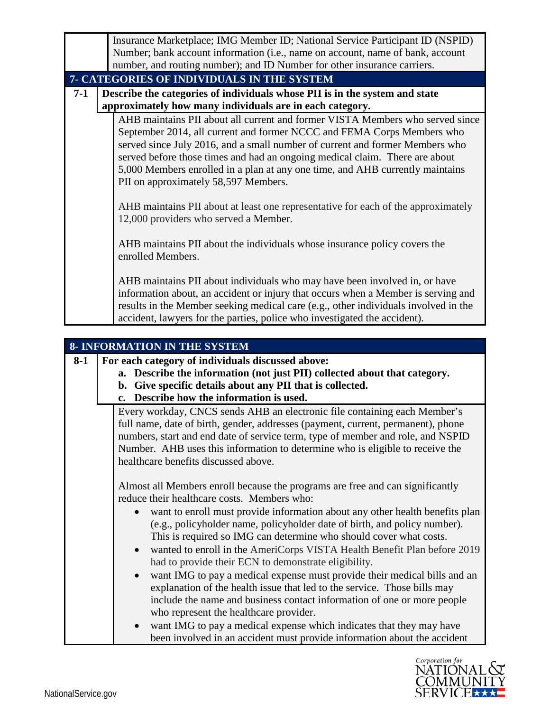|       | Insurance Marketplace; IMG Member ID; National Service Participant ID (NSPID)                                                                                                                                                                                                                                                                                                                                                                                                                                                        |  |  |
|-------|--------------------------------------------------------------------------------------------------------------------------------------------------------------------------------------------------------------------------------------------------------------------------------------------------------------------------------------------------------------------------------------------------------------------------------------------------------------------------------------------------------------------------------------|--|--|
|       | Number; bank account information (i.e., name on account, name of bank, account                                                                                                                                                                                                                                                                                                                                                                                                                                                       |  |  |
|       | number, and routing number); and ID Number for other insurance carriers.                                                                                                                                                                                                                                                                                                                                                                                                                                                             |  |  |
|       | 7- CATEGORIES OF INDIVIDUALS IN THE SYSTEM                                                                                                                                                                                                                                                                                                                                                                                                                                                                                           |  |  |
| $7-1$ | Describe the categories of individuals whose PII is in the system and state                                                                                                                                                                                                                                                                                                                                                                                                                                                          |  |  |
|       | approximately how many individuals are in each category.                                                                                                                                                                                                                                                                                                                                                                                                                                                                             |  |  |
|       | AHB maintains PII about all current and former VISTA Members who served since<br>September 2014, all current and former NCCC and FEMA Corps Members who<br>served since July 2016, and a small number of current and former Members who<br>served before those times and had an ongoing medical claim. There are about<br>5,000 Members enrolled in a plan at any one time, and AHB currently maintains<br>PII on approximately 58,597 Members.<br>AHB maintains PII about at least one representative for each of the approximately |  |  |
|       | 12,000 providers who served a Member.                                                                                                                                                                                                                                                                                                                                                                                                                                                                                                |  |  |
|       | AHB maintains PII about the individuals whose insurance policy covers the<br>enrolled Members.                                                                                                                                                                                                                                                                                                                                                                                                                                       |  |  |
|       | AHB maintains PII about individuals who may have been involved in, or have<br>information about, an accident or injury that occurs when a Member is serving and<br>results in the Member seeking medical care (e.g., other individuals involved in the<br>accident, lawyers for the parties, police who investigated the accident).                                                                                                                                                                                                  |  |  |

| <b>8- INFORMATION IN THE SYSTEM</b> |                                                                                        |  |
|-------------------------------------|----------------------------------------------------------------------------------------|--|
| $8-1$                               | For each category of individuals discussed above:                                      |  |
|                                     | a. Describe the information (not just PII) collected about that category.              |  |
|                                     | b. Give specific details about any PII that is collected.                              |  |
|                                     | c. Describe how the information is used.                                               |  |
|                                     | Every workday, CNCS sends AHB an electronic file containing each Member's              |  |
|                                     | full name, date of birth, gender, addresses (payment, current, permanent), phone       |  |
|                                     | numbers, start and end date of service term, type of member and role, and NSPID        |  |
|                                     | Number. AHB uses this information to determine who is eligible to receive the          |  |
|                                     | healthcare benefits discussed above.                                                   |  |
|                                     |                                                                                        |  |
|                                     | Almost all Members enroll because the programs are free and can significantly          |  |
|                                     | reduce their healthcare costs. Members who:                                            |  |
|                                     | want to enroll must provide information about any other health benefits plan           |  |
|                                     | (e.g., policyholder name, policyholder date of birth, and policy number).              |  |
|                                     | This is required so IMG can determine who should cover what costs.                     |  |
|                                     | wanted to enroll in the AmeriCorps VISTA Health Benefit Plan before 2019               |  |
|                                     | had to provide their ECN to demonstrate eligibility.                                   |  |
|                                     | want IMG to pay a medical expense must provide their medical bills and an<br>$\bullet$ |  |
|                                     | explanation of the health issue that led to the service. Those bills may               |  |
|                                     | include the name and business contact information of one or more people                |  |
|                                     | who represent the healthcare provider.                                                 |  |
|                                     | want IMG to pay a medical expense which indicates that they may have                   |  |
|                                     | been involved in an accident must provide information about the accident               |  |

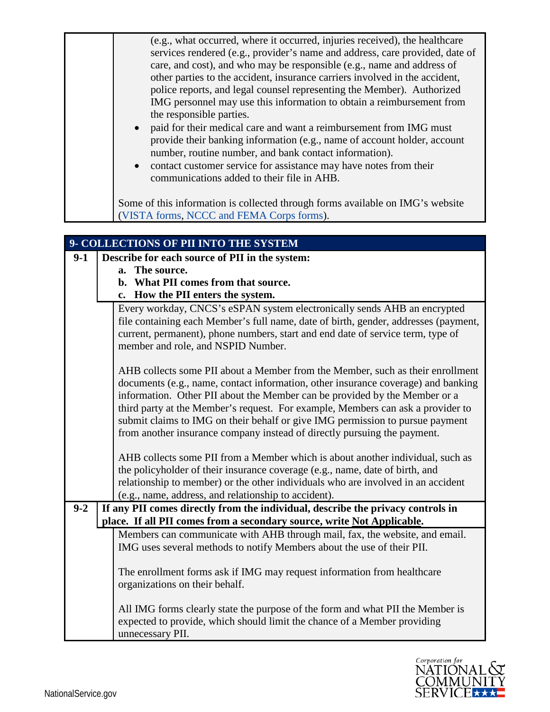| (e.g., what occurred, where it occurred, injuries received), the healthcare<br>services rendered (e.g., provider's name and address, care provided, date of<br>care, and cost), and who may be responsible (e.g., name and address of<br>other parties to the accident, insurance carriers involved in the accident,<br>police reports, and legal counsel representing the Member). Authorized<br>IMG personnel may use this information to obtain a reimbursement from<br>the responsible parties.<br>• paid for their medical care and want a reimbursement from IMG must<br>provide their banking information (e.g., name of account holder, account<br>number, routine number, and bank contact information).<br>• contact customer service for assistance may have notes from their<br>communications added to their file in AHB. |
|----------------------------------------------------------------------------------------------------------------------------------------------------------------------------------------------------------------------------------------------------------------------------------------------------------------------------------------------------------------------------------------------------------------------------------------------------------------------------------------------------------------------------------------------------------------------------------------------------------------------------------------------------------------------------------------------------------------------------------------------------------------------------------------------------------------------------------------|
| Some of this information is collected through forms available on IMG's website<br>(VISTA forms, NCCC and FEMA Corps forms).                                                                                                                                                                                                                                                                                                                                                                                                                                                                                                                                                                                                                                                                                                            |

|         | 9- COLLECTIONS OF PII INTO THE SYSTEM                                                                                                                                                                                                                                                                                                                                                                                                                                                                                                                                               |  |
|---------|-------------------------------------------------------------------------------------------------------------------------------------------------------------------------------------------------------------------------------------------------------------------------------------------------------------------------------------------------------------------------------------------------------------------------------------------------------------------------------------------------------------------------------------------------------------------------------------|--|
| $9-1$   | Describe for each source of PII in the system:                                                                                                                                                                                                                                                                                                                                                                                                                                                                                                                                      |  |
|         | a. The source.                                                                                                                                                                                                                                                                                                                                                                                                                                                                                                                                                                      |  |
|         | b. What PII comes from that source.                                                                                                                                                                                                                                                                                                                                                                                                                                                                                                                                                 |  |
|         | c. How the PII enters the system.                                                                                                                                                                                                                                                                                                                                                                                                                                                                                                                                                   |  |
|         | Every workday, CNCS's eSPAN system electronically sends AHB an encrypted<br>file containing each Member's full name, date of birth, gender, addresses (payment,<br>current, permanent), phone numbers, start and end date of service term, type of<br>member and role, and NSPID Number.                                                                                                                                                                                                                                                                                            |  |
|         | AHB collects some PII about a Member from the Member, such as their enrollment<br>documents (e.g., name, contact information, other insurance coverage) and banking<br>information. Other PII about the Member can be provided by the Member or a<br>third party at the Member's request. For example, Members can ask a provider to<br>submit claims to IMG on their behalf or give IMG permission to pursue payment<br>from another insurance company instead of directly pursuing the payment.<br>AHB collects some PII from a Member which is about another individual, such as |  |
|         | the policyholder of their insurance coverage (e.g., name, date of birth, and                                                                                                                                                                                                                                                                                                                                                                                                                                                                                                        |  |
|         | relationship to member) or the other individuals who are involved in an accident<br>(e.g., name, address, and relationship to accident).                                                                                                                                                                                                                                                                                                                                                                                                                                            |  |
| $9 - 2$ | If any PII comes directly from the individual, describe the privacy controls in                                                                                                                                                                                                                                                                                                                                                                                                                                                                                                     |  |
|         | place. If all PII comes from a secondary source, write Not Applicable.                                                                                                                                                                                                                                                                                                                                                                                                                                                                                                              |  |
|         | Members can communicate with AHB through mail, fax, the website, and email.                                                                                                                                                                                                                                                                                                                                                                                                                                                                                                         |  |
|         | IMG uses several methods to notify Members about the use of their PII.                                                                                                                                                                                                                                                                                                                                                                                                                                                                                                              |  |
|         | The enrollment forms ask if IMG may request information from healthcare<br>organizations on their behalf.                                                                                                                                                                                                                                                                                                                                                                                                                                                                           |  |
|         | All IMG forms clearly state the purpose of the form and what PII the Member is<br>expected to provide, which should limit the chance of a Member providing<br>unnecessary PII.                                                                                                                                                                                                                                                                                                                                                                                                      |  |

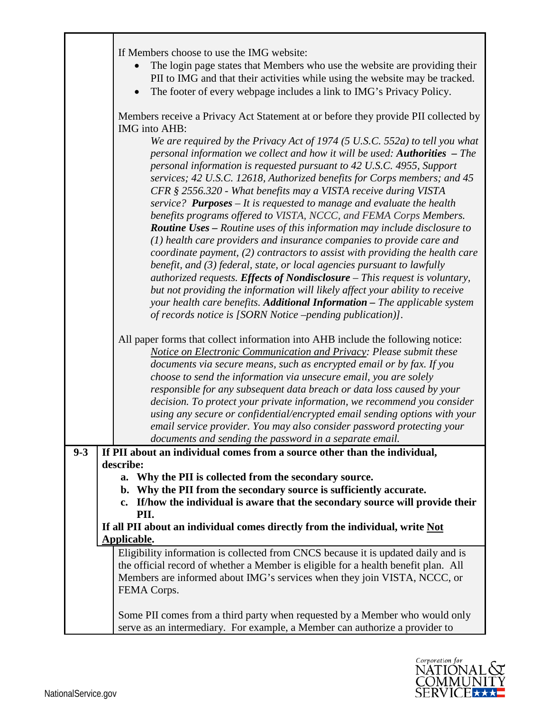|         | If Members choose to use the IMG website:                                                                                                                                                                                                                                                                                                                                                                                                                                                                                                                                                                                                                                                                                                                                                                                                                                                                                                                                                                                                                                                                                                                              |
|---------|------------------------------------------------------------------------------------------------------------------------------------------------------------------------------------------------------------------------------------------------------------------------------------------------------------------------------------------------------------------------------------------------------------------------------------------------------------------------------------------------------------------------------------------------------------------------------------------------------------------------------------------------------------------------------------------------------------------------------------------------------------------------------------------------------------------------------------------------------------------------------------------------------------------------------------------------------------------------------------------------------------------------------------------------------------------------------------------------------------------------------------------------------------------------|
|         | The login page states that Members who use the website are providing their                                                                                                                                                                                                                                                                                                                                                                                                                                                                                                                                                                                                                                                                                                                                                                                                                                                                                                                                                                                                                                                                                             |
|         | PII to IMG and that their activities while using the website may be tracked.                                                                                                                                                                                                                                                                                                                                                                                                                                                                                                                                                                                                                                                                                                                                                                                                                                                                                                                                                                                                                                                                                           |
|         | The footer of every webpage includes a link to IMG's Privacy Policy.<br>$\bullet$                                                                                                                                                                                                                                                                                                                                                                                                                                                                                                                                                                                                                                                                                                                                                                                                                                                                                                                                                                                                                                                                                      |
|         | Members receive a Privacy Act Statement at or before they provide PII collected by<br>IMG into AHB:                                                                                                                                                                                                                                                                                                                                                                                                                                                                                                                                                                                                                                                                                                                                                                                                                                                                                                                                                                                                                                                                    |
|         | We are required by the Privacy Act of 1974 (5 U.S.C. 552a) to tell you what<br>personal information we collect and how it will be used: Authorities - The<br>personal information is requested pursuant to 42 U.S.C. 4955, Support<br>services; 42 U.S.C. 12618, Authorized benefits for Corps members; and 45<br>CFR § 2556.320 - What benefits may a VISTA receive during VISTA<br>service? <b>Purposes</b> – It is requested to manage and evaluate the health<br>benefits programs offered to VISTA, NCCC, and FEMA Corps Members.<br><b>Routine Uses - Routine uses of this information may include disclosure to</b><br>(1) health care providers and insurance companies to provide care and<br>coordinate payment, (2) contractors to assist with providing the health care<br>benefit, and (3) federal, state, or local agencies pursuant to lawfully<br>authorized requests. Effects of Nondisclosure - This request is voluntary,<br>but not providing the information will likely affect your ability to receive<br>your health care benefits. Additional Information - The applicable system<br>of records notice is [SORN Notice -pending publication]]. |
|         | All paper forms that collect information into AHB include the following notice:<br>Notice on Electronic Communication and Privacy: Please submit these                                                                                                                                                                                                                                                                                                                                                                                                                                                                                                                                                                                                                                                                                                                                                                                                                                                                                                                                                                                                                 |
|         | documents via secure means, such as encrypted email or by fax. If you<br>choose to send the information via unsecure email, you are solely                                                                                                                                                                                                                                                                                                                                                                                                                                                                                                                                                                                                                                                                                                                                                                                                                                                                                                                                                                                                                             |
|         | responsible for any subsequent data breach or data loss caused by your                                                                                                                                                                                                                                                                                                                                                                                                                                                                                                                                                                                                                                                                                                                                                                                                                                                                                                                                                                                                                                                                                                 |
|         | decision. To protect your private information, we recommend you consider                                                                                                                                                                                                                                                                                                                                                                                                                                                                                                                                                                                                                                                                                                                                                                                                                                                                                                                                                                                                                                                                                               |
|         | using any secure or confidential/encrypted email sending options with your                                                                                                                                                                                                                                                                                                                                                                                                                                                                                                                                                                                                                                                                                                                                                                                                                                                                                                                                                                                                                                                                                             |
|         | email service provider. You may also consider password protecting your<br>documents and sending the password in a separate email.                                                                                                                                                                                                                                                                                                                                                                                                                                                                                                                                                                                                                                                                                                                                                                                                                                                                                                                                                                                                                                      |
| $9 - 3$ | If PII about an individual comes from a source other than the individual,                                                                                                                                                                                                                                                                                                                                                                                                                                                                                                                                                                                                                                                                                                                                                                                                                                                                                                                                                                                                                                                                                              |
|         | describe:                                                                                                                                                                                                                                                                                                                                                                                                                                                                                                                                                                                                                                                                                                                                                                                                                                                                                                                                                                                                                                                                                                                                                              |
|         | a. Why the PII is collected from the secondary source.                                                                                                                                                                                                                                                                                                                                                                                                                                                                                                                                                                                                                                                                                                                                                                                                                                                                                                                                                                                                                                                                                                                 |
|         | Why the PII from the secondary source is sufficiently accurate.<br>b.                                                                                                                                                                                                                                                                                                                                                                                                                                                                                                                                                                                                                                                                                                                                                                                                                                                                                                                                                                                                                                                                                                  |
|         | If/how the individual is aware that the secondary source will provide their<br>$c_{\bullet}$                                                                                                                                                                                                                                                                                                                                                                                                                                                                                                                                                                                                                                                                                                                                                                                                                                                                                                                                                                                                                                                                           |
|         | PII.                                                                                                                                                                                                                                                                                                                                                                                                                                                                                                                                                                                                                                                                                                                                                                                                                                                                                                                                                                                                                                                                                                                                                                   |
|         | If all PII about an individual comes directly from the individual, write Not                                                                                                                                                                                                                                                                                                                                                                                                                                                                                                                                                                                                                                                                                                                                                                                                                                                                                                                                                                                                                                                                                           |
|         | Applicable.                                                                                                                                                                                                                                                                                                                                                                                                                                                                                                                                                                                                                                                                                                                                                                                                                                                                                                                                                                                                                                                                                                                                                            |
|         | Eligibility information is collected from CNCS because it is updated daily and is                                                                                                                                                                                                                                                                                                                                                                                                                                                                                                                                                                                                                                                                                                                                                                                                                                                                                                                                                                                                                                                                                      |
|         | the official record of whether a Member is eligible for a health benefit plan. All                                                                                                                                                                                                                                                                                                                                                                                                                                                                                                                                                                                                                                                                                                                                                                                                                                                                                                                                                                                                                                                                                     |
|         | Members are informed about IMG's services when they join VISTA, NCCC, or<br>FEMA Corps.                                                                                                                                                                                                                                                                                                                                                                                                                                                                                                                                                                                                                                                                                                                                                                                                                                                                                                                                                                                                                                                                                |
|         |                                                                                                                                                                                                                                                                                                                                                                                                                                                                                                                                                                                                                                                                                                                                                                                                                                                                                                                                                                                                                                                                                                                                                                        |
|         | Some PII comes from a third party when requested by a Member who would only                                                                                                                                                                                                                                                                                                                                                                                                                                                                                                                                                                                                                                                                                                                                                                                                                                                                                                                                                                                                                                                                                            |
|         | serve as an intermediary. For example, a Member can authorize a provider to                                                                                                                                                                                                                                                                                                                                                                                                                                                                                                                                                                                                                                                                                                                                                                                                                                                                                                                                                                                                                                                                                            |

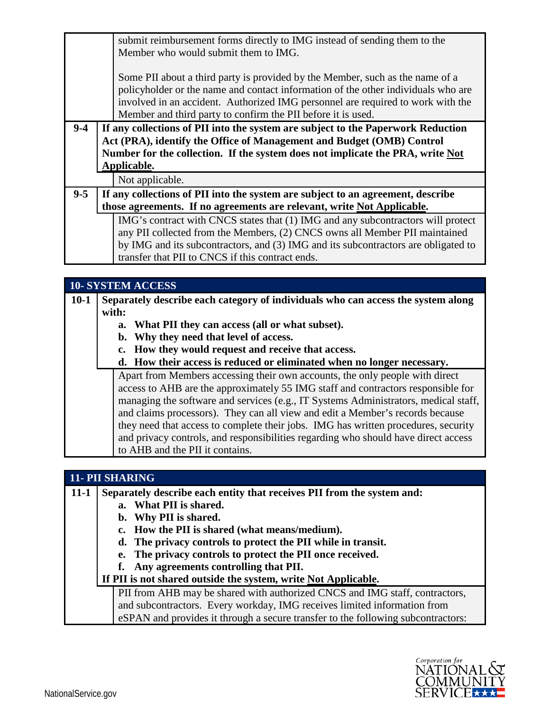|         |                                                                                                                                                                                                                                                            | submit reimbursement forms directly to IMG instead of sending them to the<br>Member who would submit them to IMG.<br>Some PII about a third party is provided by the Member, such as the name of a<br>policyholder or the name and contact information of the other individuals who are<br>involved in an accident. Authorized IMG personnel are required to work with the |
|---------|------------------------------------------------------------------------------------------------------------------------------------------------------------------------------------------------------------------------------------------------------------|----------------------------------------------------------------------------------------------------------------------------------------------------------------------------------------------------------------------------------------------------------------------------------------------------------------------------------------------------------------------------|
|         |                                                                                                                                                                                                                                                            | Member and third party to confirm the PII before it is used.                                                                                                                                                                                                                                                                                                               |
| $9 - 4$ | If any collections of PII into the system are subject to the Paperwork Reduction<br>Act (PRA), identify the Office of Management and Budget (OMB) Control<br>Number for the collection. If the system does not implicate the PRA, write Not<br>Applicable. |                                                                                                                                                                                                                                                                                                                                                                            |
|         |                                                                                                                                                                                                                                                            | Not applicable.                                                                                                                                                                                                                                                                                                                                                            |
| $9 - 5$ | If any collections of PII into the system are subject to an agreement, describe<br>those agreements. If no agreements are relevant, write Not Applicable.                                                                                                  |                                                                                                                                                                                                                                                                                                                                                                            |
|         |                                                                                                                                                                                                                                                            | IMG's contract with CNCS states that (1) IMG and any subcontractors will protect<br>any PII collected from the Members, (2) CNCS owns all Member PII maintained<br>by IMG and its subcontractors, and (3) IMG and its subcontractors are obligated to<br>transfer that PII to CNCS if this contract ends.                                                                  |

|        | <b>10- SYSTEM ACCESS</b>                                                                                                                                                                                                                                                                                                                                                                                                                                                                                                                                |
|--------|---------------------------------------------------------------------------------------------------------------------------------------------------------------------------------------------------------------------------------------------------------------------------------------------------------------------------------------------------------------------------------------------------------------------------------------------------------------------------------------------------------------------------------------------------------|
| $10-1$ | Separately describe each category of individuals who can access the system along                                                                                                                                                                                                                                                                                                                                                                                                                                                                        |
|        | with:                                                                                                                                                                                                                                                                                                                                                                                                                                                                                                                                                   |
|        | a. What PII they can access (all or what subset).                                                                                                                                                                                                                                                                                                                                                                                                                                                                                                       |
|        | b. Why they need that level of access.                                                                                                                                                                                                                                                                                                                                                                                                                                                                                                                  |
|        | How they would request and receive that access.                                                                                                                                                                                                                                                                                                                                                                                                                                                                                                         |
|        | d. How their access is reduced or eliminated when no longer necessary.                                                                                                                                                                                                                                                                                                                                                                                                                                                                                  |
|        | Apart from Members accessing their own accounts, the only people with direct<br>access to AHB are the approximately 55 IMG staff and contractors responsible for<br>managing the software and services (e.g., IT Systems Administrators, medical staff,<br>and claims processors). They can all view and edit a Member's records because<br>they need that access to complete their jobs. IMG has written procedures, security<br>and privacy controls, and responsibilities regarding who should have direct access<br>to AHB and the PII it contains. |

| 11- PII SHARING |                                                                                  |  |
|-----------------|----------------------------------------------------------------------------------|--|
| $11 - 1$        | Separately describe each entity that receives PII from the system and:           |  |
|                 | a. What PII is shared.                                                           |  |
|                 | b. Why PII is shared.                                                            |  |
|                 | c. How the PII is shared (what means/medium).                                    |  |
|                 | d. The privacy controls to protect the PII while in transit.                     |  |
|                 | The privacy controls to protect the PII once received.<br>е.                     |  |
|                 | Any agreements controlling that PII.                                             |  |
|                 | If PII is not shared outside the system, write Not Applicable.                   |  |
|                 | PII from AHB may be shared with authorized CNCS and IMG staff, contractors,      |  |
|                 | and subcontractors. Every workday, IMG receives limited information from         |  |
|                 | eSPAN and provides it through a secure transfer to the following subcontractors: |  |



Г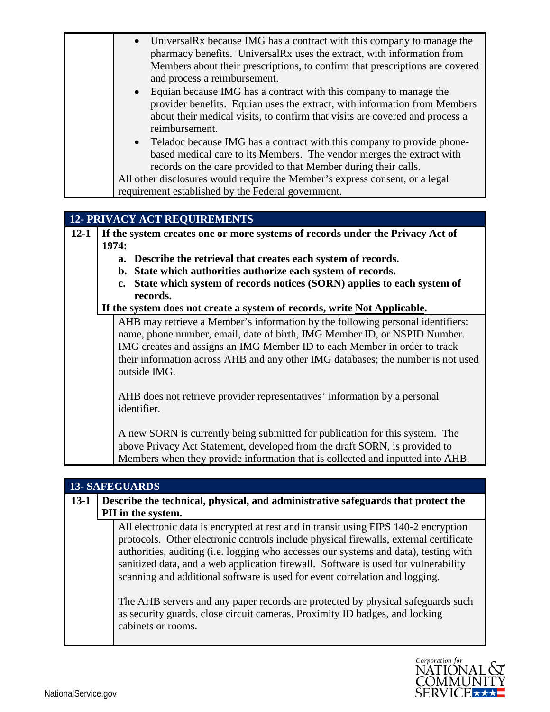|          | Universal Rx because IMG has a contract with this company to manage the<br>pharmacy benefits. UniversalRx uses the extract, with information from<br>Members about their prescriptions, to confirm that prescriptions are covered<br>and process a reimbursement.<br>Equian because IMG has a contract with this company to manage the<br>provider benefits. Equian uses the extract, with information from Members<br>about their medical visits, to confirm that visits are covered and process a<br>reimbursement.<br>Teladoc because IMG has a contract with this company to provide phone-<br>based medical care to its Members. The vendor merges the extract with<br>records on the care provided to that Member during their calls.<br>All other disclosures would require the Member's express consent, or a legal<br>requirement established by the Federal government. |
|----------|-----------------------------------------------------------------------------------------------------------------------------------------------------------------------------------------------------------------------------------------------------------------------------------------------------------------------------------------------------------------------------------------------------------------------------------------------------------------------------------------------------------------------------------------------------------------------------------------------------------------------------------------------------------------------------------------------------------------------------------------------------------------------------------------------------------------------------------------------------------------------------------|
|          |                                                                                                                                                                                                                                                                                                                                                                                                                                                                                                                                                                                                                                                                                                                                                                                                                                                                                   |
|          | <b>12- PRIVACY ACT REQUIREMENTS</b>                                                                                                                                                                                                                                                                                                                                                                                                                                                                                                                                                                                                                                                                                                                                                                                                                                               |
| $12 - 1$ |                                                                                                                                                                                                                                                                                                                                                                                                                                                                                                                                                                                                                                                                                                                                                                                                                                                                                   |
|          | If the system creates one or more systems of records under the Privacy Act of<br>1974:                                                                                                                                                                                                                                                                                                                                                                                                                                                                                                                                                                                                                                                                                                                                                                                            |
|          | a. Describe the retrieval that creates each system of records.                                                                                                                                                                                                                                                                                                                                                                                                                                                                                                                                                                                                                                                                                                                                                                                                                    |
|          | b. State which authorities authorize each system of records.                                                                                                                                                                                                                                                                                                                                                                                                                                                                                                                                                                                                                                                                                                                                                                                                                      |
|          | c. State which system of records notices (SORN) applies to each system of                                                                                                                                                                                                                                                                                                                                                                                                                                                                                                                                                                                                                                                                                                                                                                                                         |
|          | records.                                                                                                                                                                                                                                                                                                                                                                                                                                                                                                                                                                                                                                                                                                                                                                                                                                                                          |
|          | If the system does not create a system of records, write Not Applicable.                                                                                                                                                                                                                                                                                                                                                                                                                                                                                                                                                                                                                                                                                                                                                                                                          |
|          | AHB may retrieve a Member's information by the following personal identifiers:<br>name, phone number, email, date of birth, IMG Member ID, or NSPID Number.<br>IMG creates and assigns an IMG Member ID to each Member in order to track<br>their information across AHB and any other IMG databases; the number is not used<br>outside IMG.                                                                                                                                                                                                                                                                                                                                                                                                                                                                                                                                      |
|          | AHB does not retrieve provider representatives' information by a personal<br>identifier.                                                                                                                                                                                                                                                                                                                                                                                                                                                                                                                                                                                                                                                                                                                                                                                          |
|          | A new SORN is currently being submitted for publication for this system. The<br>above Privacy Act Statement, developed from the draft SORN, is provided to<br>Members when they provide information that is collected and inputted into AHB.                                                                                                                                                                                                                                                                                                                                                                                                                                                                                                                                                                                                                                      |

| <b>13- SAFEGUARDS</b> |                                                                                                                                                                                                                                                                                                                                                                                                                                                                                                                                                                                                                                   |  |
|-----------------------|-----------------------------------------------------------------------------------------------------------------------------------------------------------------------------------------------------------------------------------------------------------------------------------------------------------------------------------------------------------------------------------------------------------------------------------------------------------------------------------------------------------------------------------------------------------------------------------------------------------------------------------|--|
| $13-1$                | Describe the technical, physical, and administrative safeguards that protect the<br>PII in the system.                                                                                                                                                                                                                                                                                                                                                                                                                                                                                                                            |  |
|                       | All electronic data is encrypted at rest and in transit using FIPS 140-2 encryption<br>protocols. Other electronic controls include physical firewalls, external certificate<br>authorities, auditing (i.e. logging who accesses our systems and data), testing with<br>sanitized data, and a web application firewall. Software is used for vulnerability<br>scanning and additional software is used for event correlation and logging.<br>The AHB servers and any paper records are protected by physical safeguards such<br>as security guards, close circuit cameras, Proximity ID badges, and locking<br>cabinets or rooms. |  |

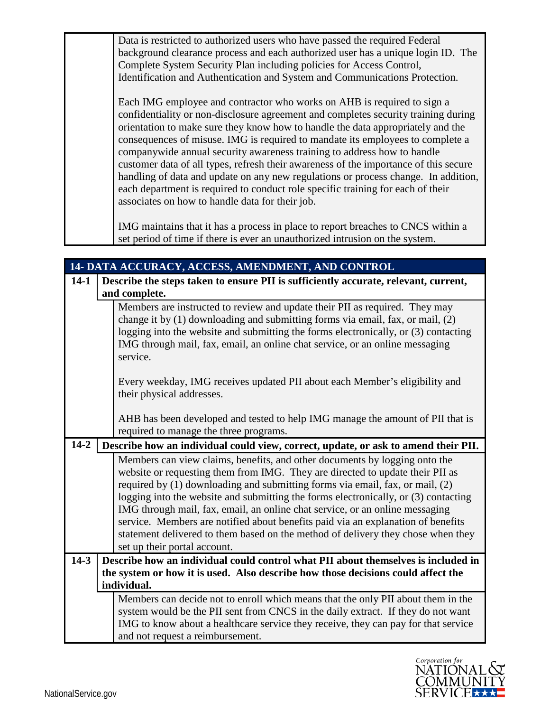Data is restricted to authorized users who have passed the required Federal background clearance process and each authorized user has a unique login ID. The Complete System Security Plan including policies for Access Control, Identification and Authentication and System and Communications Protection.

Each IMG employee and contractor who works on AHB is required to sign a confidentiality or non-disclosure agreement and completes security training during orientation to make sure they know how to handle the data appropriately and the consequences of misuse. IMG is required to mandate its employees to complete a companywide annual security awareness training to address how to handle customer data of all types, refresh their awareness of the importance of this secure handling of data and update on any new regulations or process change. In addition, each department is required to conduct role specific training for each of their associates on how to handle data for their job.

IMG maintains that it has a process in place to report breaches to CNCS within a set period of time if there is ever an unauthorized intrusion on the system.

| 14- DATA ACCURACY, ACCESS, AMENDMENT, AND CONTROL |  |                                                                                                                  |
|---------------------------------------------------|--|------------------------------------------------------------------------------------------------------------------|
| $14-1$                                            |  | Describe the steps taken to ensure PII is sufficiently accurate, relevant, current,                              |
|                                                   |  | and complete.                                                                                                    |
|                                                   |  | Members are instructed to review and update their PII as required. They may                                      |
|                                                   |  | change it by (1) downloading and submitting forms via email, fax, or mail, (2)                                   |
|                                                   |  | logging into the website and submitting the forms electronically, or (3) contacting                              |
|                                                   |  | IMG through mail, fax, email, an online chat service, or an online messaging<br>service.                         |
|                                                   |  |                                                                                                                  |
|                                                   |  | Every weekday, IMG receives updated PII about each Member's eligibility and                                      |
|                                                   |  | their physical addresses.                                                                                        |
|                                                   |  |                                                                                                                  |
|                                                   |  | AHB has been developed and tested to help IMG manage the amount of PII that is                                   |
|                                                   |  | required to manage the three programs.                                                                           |
| $14 - 2$                                          |  | Describe how an individual could view, correct, update, or ask to amend their PII.                               |
|                                                   |  | Members can view claims, benefits, and other documents by logging onto the                                       |
|                                                   |  | website or requesting them from IMG. They are directed to update their PII as                                    |
|                                                   |  | required by (1) downloading and submitting forms via email, fax, or mail, (2)                                    |
|                                                   |  | logging into the website and submitting the forms electronically, or (3) contacting                              |
|                                                   |  | IMG through mail, fax, email, an online chat service, or an online messaging                                     |
|                                                   |  | service. Members are notified about benefits paid via an explanation of benefits                                 |
|                                                   |  | statement delivered to them based on the method of delivery they chose when they<br>set up their portal account. |
| $14-3$                                            |  | Describe how an individual could control what PII about themselves is included in                                |
|                                                   |  | the system or how it is used. Also describe how those decisions could affect the                                 |
|                                                   |  | individual.                                                                                                      |
|                                                   |  | Members can decide not to enroll which means that the only PII about them in the                                 |
|                                                   |  | system would be the PII sent from CNCS in the daily extract. If they do not want                                 |
|                                                   |  | IMG to know about a healthcare service they receive, they can pay for that service                               |
|                                                   |  | and not request a reimbursement.                                                                                 |

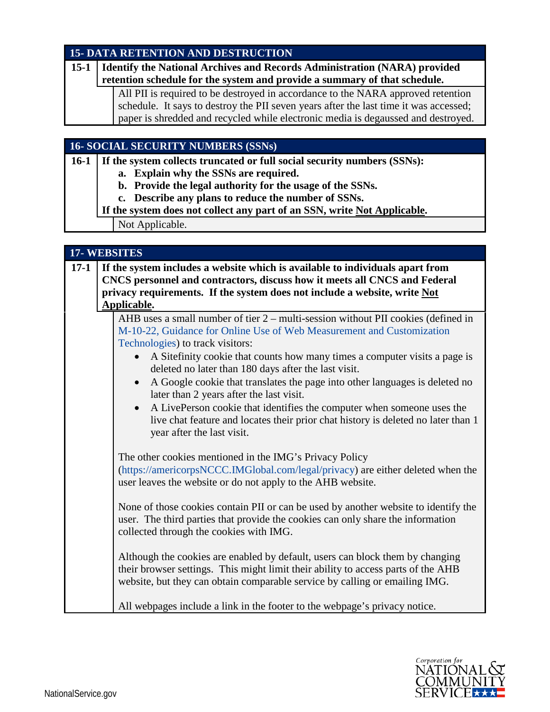## **15- DATA RETENTION AND DESTRUCTION**

| $15 - 1$ | Identify the National Archives and Records Administration (NARA) provided             |
|----------|---------------------------------------------------------------------------------------|
|          | retention schedule for the system and provide a summary of that schedule.             |
|          | All PII is required to be destroyed in accordance to the NARA approved retention      |
|          | schedule. It says to destroy the PII seven years after the last time it was accessed; |
|          | paper is shredded and recycled while electronic media is degaussed and destroyed.     |
|          |                                                                                       |

## **16- SOCIAL SECURITY NUMBERS (SSNs)**

**16-1 If the system collects truncated or full social security numbers (SSNs):**

**a. Explain why the SSNs are required.**

- **b. Provide the legal authority for the usage of the SSNs.**
- **c. Describe any plans to reduce the number of SSNs.**
- **If the system does not collect any part of an SSN, write Not Applicable.**

Not Applicable.

| <b>17-WEBSITES</b> |                                                                                                                                                                                                                                                                                                                                                                                                                                                                                                                                                                                                                                                                           |  |
|--------------------|---------------------------------------------------------------------------------------------------------------------------------------------------------------------------------------------------------------------------------------------------------------------------------------------------------------------------------------------------------------------------------------------------------------------------------------------------------------------------------------------------------------------------------------------------------------------------------------------------------------------------------------------------------------------------|--|
| $17-1$             | If the system includes a website which is available to individuals apart from<br>CNCS personnel and contractors, discuss how it meets all CNCS and Federal<br>privacy requirements. If the system does not include a website, write Not<br>Applicable.                                                                                                                                                                                                                                                                                                                                                                                                                    |  |
|                    | AHB uses a small number of tier 2 – multi-session without PII cookies (defined in<br>M-10-22, Guidance for Online Use of Web Measurement and Customization<br>Technologies) to track visitors:<br>A Sitefinity cookie that counts how many times a computer visits a page is<br>$\bullet$<br>deleted no later than 180 days after the last visit.<br>A Google cookie that translates the page into other languages is deleted no<br>later than 2 years after the last visit.<br>A LivePerson cookie that identifies the computer when someone uses the<br>live chat feature and locates their prior chat history is deleted no later than 1<br>year after the last visit. |  |
|                    | The other cookies mentioned in the IMG's Privacy Policy<br>(https://americorpsNCCC.IMGlobal.com/legal/privacy) are either deleted when the<br>user leaves the website or do not apply to the AHB website.                                                                                                                                                                                                                                                                                                                                                                                                                                                                 |  |
|                    | None of those cookies contain PII or can be used by another website to identify the<br>user. The third parties that provide the cookies can only share the information<br>collected through the cookies with IMG.                                                                                                                                                                                                                                                                                                                                                                                                                                                         |  |
|                    | Although the cookies are enabled by default, users can block them by changing<br>their browser settings. This might limit their ability to access parts of the AHB<br>website, but they can obtain comparable service by calling or emailing IMG.                                                                                                                                                                                                                                                                                                                                                                                                                         |  |
|                    | All webpages include a link in the footer to the webpage's privacy notice.                                                                                                                                                                                                                                                                                                                                                                                                                                                                                                                                                                                                |  |